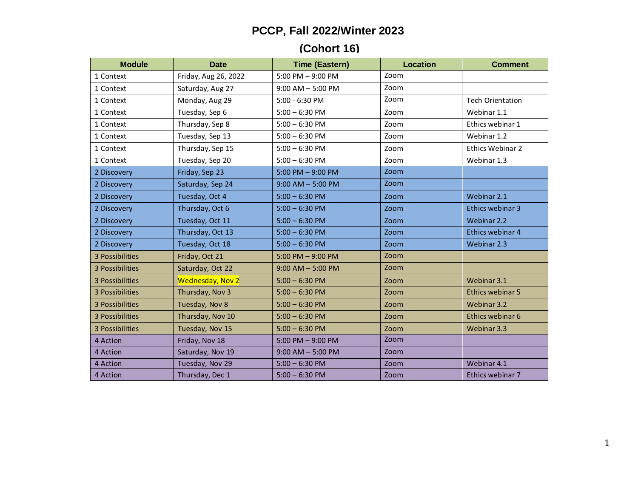## **PCCP, Fall 2022/Winter 2023**

## **(Cohort 16)**

| <b>Module</b>   | <b>Date</b>             | <b>Time (Eastern)</b> | <b>Location</b> | <b>Comment</b>          |
|-----------------|-------------------------|-----------------------|-----------------|-------------------------|
| 1 Context       | Friday, Aug 26, 2022    | 5:00 PM $-$ 9:00 PM   | Zoom            |                         |
| 1 Context       | Saturday, Aug 27        | $9:00$ AM $-5:00$ PM  | Zoom            |                         |
| 1 Context       | Monday, Aug 29          | 5:00 - 6:30 PM        | Zoom            | <b>Tech Orientation</b> |
| 1 Context       | Tuesday, Sep 6          | $5:00 - 6:30$ PM      | Zoom            | Webinar 1.1             |
| 1 Context       | Thursday, Sep 8         | $5:00 - 6:30$ PM      | Zoom            | Ethics webinar 1        |
| 1 Context       | Tuesday, Sep 13         | $5:00 - 6:30$ PM      | Zoom            | Webinar 1.2             |
| 1 Context       | Thursday, Sep 15        | $5:00 - 6:30$ PM      | Zoom            | Ethics Webinar 2        |
| 1 Context       | Tuesday, Sep 20         | $5:00 - 6:30$ PM      | Zoom            | Webinar 1.3             |
| 2 Discovery     | Friday, Sep 23          | 5:00 PM $-$ 9:00 PM   | Zoom            |                         |
| 2 Discovery     | Saturday, Sep 24        | $9:00$ AM $-5:00$ PM  | Zoom            |                         |
| 2 Discovery     | Tuesday, Oct 4          | $5:00 - 6:30$ PM      | Zoom            | Webinar 2.1             |
| 2 Discovery     | Thursday, Oct 6         | $5:00 - 6:30$ PM      | Zoom            | Ethics webinar 3        |
| 2 Discovery     | Tuesday, Oct 11         | $5:00 - 6:30$ PM      | Zoom            | Webinar 2.2             |
| 2 Discovery     | Thursday, Oct 13        | $5:00 - 6:30$ PM      | Zoom            | Ethics webinar 4        |
| 2 Discovery     | Tuesday, Oct 18         | $5:00 - 6:30$ PM      | Zoom            | Webinar 2.3             |
| 3 Possibilities | Friday, Oct 21          | $5:00$ PM $-9:00$ PM  | Zoom            |                         |
| 3 Possibilities | Saturday, Oct 22        | $9:00$ AM $-5:00$ PM  | Zoom            |                         |
| 3 Possibilities | <b>Wednesday, Nov 2</b> | $5:00 - 6:30$ PM      | Zoom            | Webinar 3.1             |
| 3 Possibilities | Thursday, Nov 3         | $5:00 - 6:30$ PM      | Zoom            | Ethics webinar 5        |
| 3 Possibilities | Tuesday, Nov 8          | $5:00 - 6:30$ PM      | Zoom            | Webinar 3.2             |
| 3 Possibilities | Thursday, Nov 10        | $5:00 - 6:30$ PM      | Zoom            | Ethics webinar 6        |
| 3 Possibilities | Tuesday, Nov 15         | $5:00 - 6:30$ PM      | Zoom            | Webinar 3.3             |
| 4 Action        | Friday, Nov 18          | 5:00 PM $-$ 9:00 PM   | Zoom            |                         |
| 4 Action        | Saturday, Nov 19        | $9:00$ AM $-5:00$ PM  | Zoom            |                         |
| 4 Action        | Tuesday, Nov 29         | $5:00 - 6:30$ PM      | Zoom            | Webinar 4.1             |
| 4 Action        | Thursday, Dec 1         | $5:00 - 6:30$ PM      | Zoom            | Ethics webinar 7        |

1